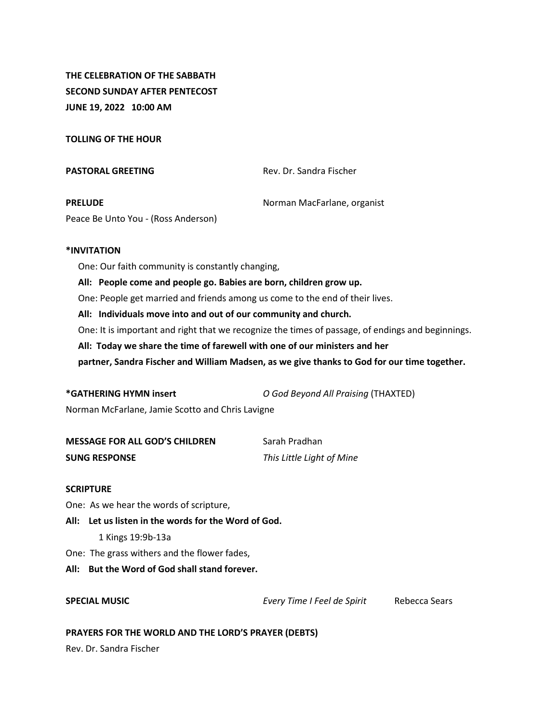**THE CELEBRATION OF THE SABBATH SECOND SUNDAY AFTER PENTECOST JUNE 19, 2022 10:00 AM**

**TOLLING OF THE HOUR**

**PASTORAL GREETING** Rev. Dr. Sandra Fischer **PRELUDE** Norman MacFarlane, organist

Peace Be Unto You - (Ross Anderson)

# **\*INVITATION**

One: Our faith community is constantly changing,

**All: People come and people go. Babies are born, children grow up.**

One: People get married and friends among us come to the end of their lives.

**All: Individuals move into and out of our community and church.**

One: It is important and right that we recognize the times of passage, of endings and beginnings.

**All: Today we share the time of farewell with one of our ministers and her** 

**partner, Sandra Fischer and William Madsen, as we give thanks to God for our time together.**

**\*GATHERING HYMN insert** *O God Beyond All Praising* (THAXTED)

Norman McFarlane, Jamie Scotto and Chris Lavigne

| <b>MESSAGE FOR ALL GOD'S CHILDREN</b> | Sarah Pradhan             |
|---------------------------------------|---------------------------|
| <b>SUNG RESPONSE</b>                  | This Little Light of Mine |

## **SCRIPTURE**

One: As we hear the words of scripture,

**All: Let us listen in the words for the Word of God.**

1 Kings 19:9b-13a

One: The grass withers and the flower fades,

**All: But the Word of God shall stand forever.** 

**SPECIAL MUSIC** *Every Time I Feel de Spirit* Rebecca Sears

## **PRAYERS FOR THE WORLD AND THE LORD'S PRAYER (DEBTS)**

Rev. Dr. Sandra Fischer